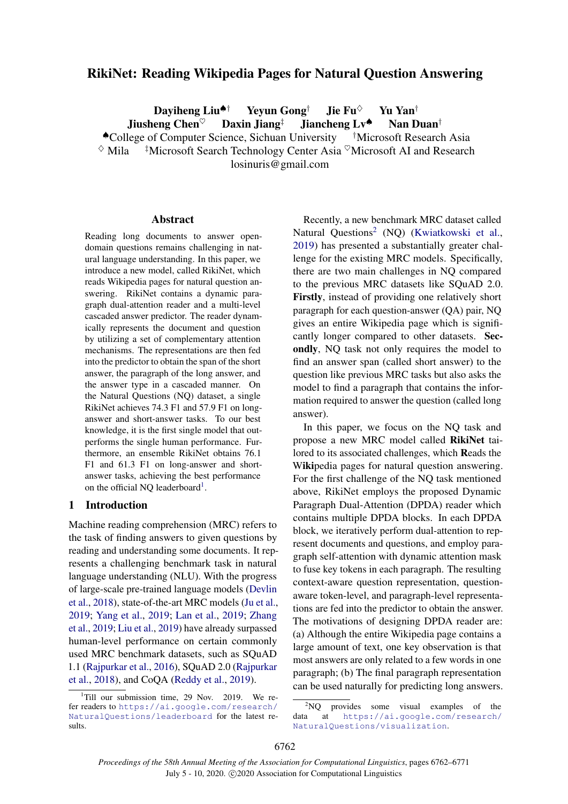# RikiNet: Reading Wikipedia Pages for Natural Question Answering

Daviheng Liu<sup> $\spadesuit$ †</sup> Yeyun Gong<sup>†</sup> Jie Fu $\heartsuit$  Yu Yan<sup>†</sup> Jiusheng Chen<sup> $\heartsuit$ </sup> Daxin Jiang<sup>‡</sup> Jiancheng Lv<sup> $\spadesuit$ </sup> Nan Duan<sup>†</sup>

◆College of Computer Science, Sichuan University †Microsoft Research Asia <br>
◇ Mila → †Microsoft Search Technology Center Asia <sup>♡</sup>Microsoft AI and Research <sup>‡</sup>Microsoft Search Technology Center Asia <sup>©</sup>Microsoft AI and Research

losinuris@gmail.com

#### Abstract

Reading long documents to answer opendomain questions remains challenging in natural language understanding. In this paper, we introduce a new model, called RikiNet, which reads Wikipedia pages for natural question answering. RikiNet contains a dynamic paragraph dual-attention reader and a multi-level cascaded answer predictor. The reader dynamically represents the document and question by utilizing a set of complementary attention mechanisms. The representations are then fed into the predictor to obtain the span of the short answer, the paragraph of the long answer, and the answer type in a cascaded manner. On the Natural Questions (NQ) dataset, a single RikiNet achieves 74.3 F1 and 57.9 F1 on longanswer and short-answer tasks. To our best knowledge, it is the first single model that outperforms the single human performance. Furthermore, an ensemble RikiNet obtains 76.1 F1 and 61.3 F1 on long-answer and shortanswer tasks, achieving the best performance on the official NQ leaderboard<sup>[1](#page-0-0)</sup>.

### 1 Introduction

Machine reading comprehension (MRC) refers to the task of finding answers to given questions by reading and understanding some documents. It represents a challenging benchmark task in natural language understanding (NLU). With the progress of large-scale pre-trained language models [\(Devlin](#page-8-0) [et al.,](#page-8-0) [2018\)](#page-8-0), state-of-the-art MRC models [\(Ju et al.,](#page-8-1) [2019;](#page-8-1) [Yang et al.,](#page-9-0) [2019;](#page-9-0) [Lan et al.,](#page-8-2) [2019;](#page-8-2) [Zhang](#page-9-1) [et al.,](#page-9-1) [2019;](#page-9-1) [Liu et al.,](#page-8-3) [2019\)](#page-8-3) have already surpassed human-level performance on certain commonly used MRC benchmark datasets, such as SQuAD 1.1 [\(Rajpurkar et al.,](#page-8-4) [2016\)](#page-8-4), SQuAD 2.0 [\(Rajpurkar](#page-8-5) [et al.,](#page-8-5) [2018\)](#page-8-5), and CoQA [\(Reddy et al.,](#page-8-6) [2019\)](#page-8-6).

Recently, a new benchmark MRC dataset called Natural Questions<sup>[2](#page-0-1)</sup> (NQ) [\(Kwiatkowski et al.,](#page-8-7) [2019\)](#page-8-7) has presented a substantially greater challenge for the existing MRC models. Specifically, there are two main challenges in NQ compared to the previous MRC datasets like SQuAD 2.0. Firstly, instead of providing one relatively short paragraph for each question-answer (QA) pair, NQ gives an entire Wikipedia page which is significantly longer compared to other datasets. Secondly, NQ task not only requires the model to find an answer span (called short answer) to the question like previous MRC tasks but also asks the model to find a paragraph that contains the information required to answer the question (called long answer).

In this paper, we focus on the NQ task and propose a new MRC model called RikiNet tailored to its associated challenges, which Reads the Wikipedia pages for natural question answering. For the first challenge of the NQ task mentioned above, RikiNet employs the proposed Dynamic Paragraph Dual-Attention (DPDA) reader which contains multiple DPDA blocks. In each DPDA block, we iteratively perform dual-attention to represent documents and questions, and employ paragraph self-attention with dynamic attention mask to fuse key tokens in each paragraph. The resulting context-aware question representation, questionaware token-level, and paragraph-level representations are fed into the predictor to obtain the answer. The motivations of designing DPDA reader are: (a) Although the entire Wikipedia page contains a large amount of text, one key observation is that most answers are only related to a few words in one paragraph; (b) The final paragraph representation can be used naturally for predicting long answers.

<span id="page-0-0"></span><sup>&</sup>lt;sup>1</sup>Till our submission time, 29 Nov. 2019. We refer readers to [https://ai.google.com/research/](https://ai.google.com/research/NaturalQuestions/leaderboard) [NaturalQuestions/leaderboard](https://ai.google.com/research/NaturalQuestions/leaderboard) for the latest results.

<span id="page-0-1"></span><sup>&</sup>lt;sup>2</sup>NQ provides some visual examples of the<br>data at https://ai.google.com/research/ [https://ai.google.com/research/](https://ai.google.com/research/NaturalQuestions/visualization) [NaturalQuestions/visualization](https://ai.google.com/research/NaturalQuestions/visualization).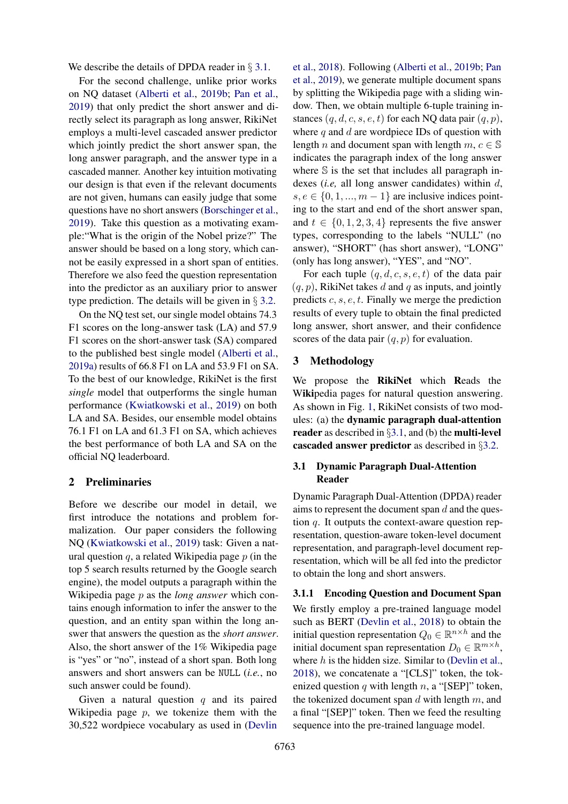We describe the details of DPDA reader in § [3.1.](#page-1-0)

For the second challenge, unlike prior works on NQ dataset [\(Alberti et al.,](#page-8-8) [2019b;](#page-8-8) [Pan et al.,](#page-8-9) [2019\)](#page-8-9) that only predict the short answer and directly select its paragraph as long answer, RikiNet employs a multi-level cascaded answer predictor which jointly predict the short answer span, the long answer paragraph, and the answer type in a cascaded manner. Another key intuition motivating our design is that even if the relevant documents are not given, humans can easily judge that some questions have no short answers [\(Borschinger et al.,](#page-8-10) [2019\)](#page-8-10). Take this question as a motivating example:"What is the origin of the Nobel prize?" The answer should be based on a long story, which cannot be easily expressed in a short span of entities. Therefore we also feed the question representation into the predictor as an auxiliary prior to answer type prediction. The details will be given in § [3.2.](#page-4-0)

On the NQ test set, our single model obtains 74.3 F1 scores on the long-answer task (LA) and 57.9 F1 scores on the short-answer task (SA) compared to the published best single model [\(Alberti et al.,](#page-8-11) [2019a\)](#page-8-11) results of 66.8 F1 on LA and 53.9 F1 on SA. To the best of our knowledge, RikiNet is the first *single* model that outperforms the single human performance [\(Kwiatkowski et al.,](#page-8-7) [2019\)](#page-8-7) on both LA and SA. Besides, our ensemble model obtains 76.1 F1 on LA and 61.3 F1 on SA, which achieves the best performance of both LA and SA on the official NQ leaderboard.

### <span id="page-1-1"></span>2 Preliminaries

Before we describe our model in detail, we first introduce the notations and problem formalization. Our paper considers the following NQ [\(Kwiatkowski et al.,](#page-8-7) [2019\)](#page-8-7) task: Given a natural question  $q$ , a related Wikipedia page  $p$  (in the top 5 search results returned by the Google search engine), the model outputs a paragraph within the Wikipedia page p as the *long answer* which contains enough information to infer the answer to the question, and an entity span within the long answer that answers the question as the *short answer*. Also, the short answer of the 1% Wikipedia page is "yes" or "no", instead of a short span. Both long answers and short answers can be NULL (*i.e.*, no such answer could be found).

Given a natural question  $q$  and its paired Wikipedia page  $p$ , we tokenize them with the 30,522 wordpiece vocabulary as used in [\(Devlin](#page-8-0)

[et al.,](#page-8-0) [2018\)](#page-8-0). Following [\(Alberti et al.,](#page-8-8) [2019b;](#page-8-8) [Pan](#page-8-9) [et al.,](#page-8-9) [2019\)](#page-8-9), we generate multiple document spans by splitting the Wikipedia page with a sliding window. Then, we obtain multiple 6-tuple training instances  $(q, d, c, s, e, t)$  for each NQ data pair  $(q, p)$ , where  $q$  and  $d$  are wordpiece IDs of question with length *n* and document span with length  $m, c \in \mathbb{S}$ indicates the paragraph index of the long answer where  $\mathbb S$  is the set that includes all paragraph indexes (*i.e,* all long answer candidates) within d,  $s, e \in \{0, 1, ..., m-1\}$  are inclusive indices pointing to the start and end of the short answer span, and  $t \in \{0, 1, 2, 3, 4\}$  represents the five answer types, corresponding to the labels "NULL" (no answer), "SHORT" (has short answer), "LONG" (only has long answer), "YES", and "NO".

For each tuple  $(q, d, c, s, e, t)$  of the data pair  $(q, p)$ , RikiNet takes d and q as inputs, and jointly predicts  $c, s, e, t$ . Finally we merge the prediction results of every tuple to obtain the final predicted long answer, short answer, and their confidence scores of the data pair  $(q, p)$  for evaluation.

#### 3 Methodology

We propose the RikiNet which Reads the Wikipedia pages for natural question answering. As shown in Fig. [1,](#page-2-0) RikiNet consists of two modules: (a) the dynamic paragraph dual-attention reader as described in  $\S 3.1$ , and (b) the multi-level cascaded answer predictor as described in §[3.2.](#page-4-0)

## <span id="page-1-0"></span>3.1 Dynamic Paragraph Dual-Attention Reader

Dynamic Paragraph Dual-Attention (DPDA) reader aims to represent the document span  $d$  and the question  $q$ . It outputs the context-aware question representation, question-aware token-level document representation, and paragraph-level document representation, which will be all fed into the predictor to obtain the long and short answers.

#### <span id="page-1-2"></span>3.1.1 Encoding Question and Document Span

We firstly employ a pre-trained language model such as BERT [\(Devlin et al.,](#page-8-0) [2018\)](#page-8-0) to obtain the initial question representation  $Q_0 \in \mathbb{R}^{n \times h}$  and the initial document span representation  $D_0 \in \mathbb{R}^{m \times h}$ , where  $h$  is the hidden size. Similar to [\(Devlin et al.,](#page-8-0) [2018\)](#page-8-0), we concatenate a "[CLS]" token, the tokenized question  $q$  with length  $n$ , a "[SEP]" token, the tokenized document span  $d$  with length  $m$ , and a final "[SEP]" token. Then we feed the resulting sequence into the pre-trained language model.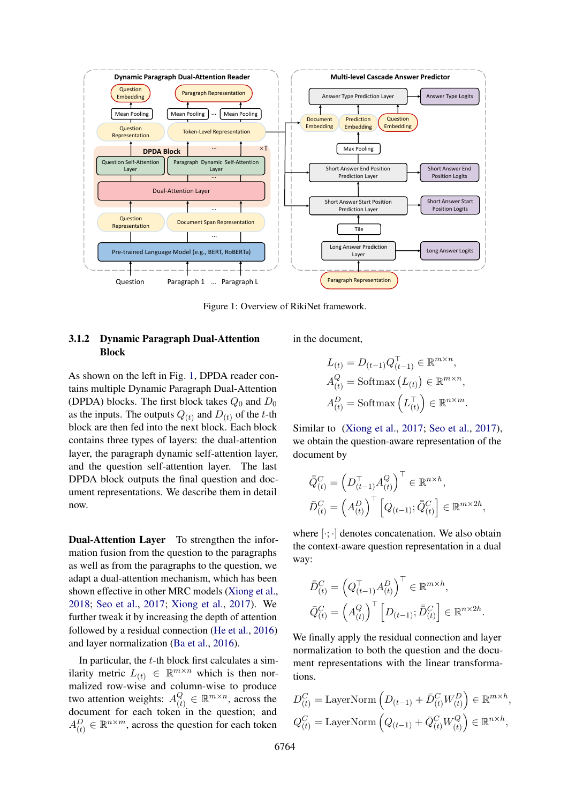<span id="page-2-0"></span>

Figure 1: Overview of RikiNet framework.

## 3.1.2 Dynamic Paragraph Dual-Attention Block

As shown on the left in Fig. [1,](#page-2-0) DPDA reader contains multiple Dynamic Paragraph Dual-Attention (DPDA) blocks. The first block takes  $Q_0$  and  $D_0$ as the inputs. The outputs  $Q_{(t)}$  and  $D_{(t)}$  of the t-th block are then fed into the next block. Each block contains three types of layers: the dual-attention layer, the paragraph dynamic self-attention layer, and the question self-attention layer. The last DPDA block outputs the final question and document representations. We describe them in detail now.

Dual-Attention Layer To strengthen the information fusion from the question to the paragraphs as well as from the paragraphs to the question, we adapt a dual-attention mechanism, which has been shown effective in other MRC models [\(Xiong et al.,](#page-9-2) [2018;](#page-9-2) [Seo et al.,](#page-8-12) [2017;](#page-8-12) [Xiong et al.,](#page-9-3) [2017\)](#page-9-3). We further tweak it by increasing the depth of attention followed by a residual connection [\(He et al.,](#page-8-13) [2016\)](#page-8-13) and layer normalization [\(Ba et al.,](#page-8-14) [2016\)](#page-8-14).

In particular, the  $t$ -th block first calculates a similarity metric  $L(t) \in \mathbb{R}^{m \times n}$  which is then normalized row-wise and column-wise to produce two attention weights:  $A_{(t)}^{Q}$  $\mathcal{C}_{(t)} \in \mathbb{R}^{m \times n}$ , across the document for each token in the question; and  $A_{(t)}^D \in \mathbb{R}^{n \times m}$ , across the question for each token

in the document,

$$
L_{(t)} = D_{(t-1)} Q_{(t-1)}^{\top} \in \mathbb{R}^{m \times n},
$$
  
\n
$$
A_{(t)}^{Q} = \text{Softmax} (L_{(t)}) \in \mathbb{R}^{m \times n},
$$
  
\n
$$
A_{(t)}^{D} = \text{Softmax} (L_{(t)}^{\top}) \in \mathbb{R}^{n \times m}.
$$

Similar to [\(Xiong et al.,](#page-9-3) [2017;](#page-9-3) [Seo et al.,](#page-8-12) [2017\)](#page-8-12). we obtain the question-aware representation of the document by

$$
\bar{\bar{Q}}_{(t)}^C = \left(D_{(t-1)}^\top A_{(t)}^Q\right)^\top \in \mathbb{R}^{n \times h},
$$
  

$$
\bar{D}_{(t)}^C = \left(A_{(t)}^D\right)^\top \left[Q_{(t-1)}; \bar{\bar{Q}}_{(t)}^C\right] \in \mathbb{R}^{m \times 2h},
$$

where  $[\cdot; \cdot]$  denotes concatenation. We also obtain the context-aware question representation in a dual way:

$$
\bar{\bar{D}}_{(t)}^C = \left(Q_{(t-1)}^\top A_{(t)}^D\right)^\top \in \mathbb{R}^{m \times h},
$$
  

$$
\bar{Q}_{(t)}^C = \left(A_{(t)}^Q\right)^\top \left[D_{(t-1)}; \bar{\bar{D}}_{(t)}^C\right] \in \mathbb{R}^{n \times 2h}.
$$

We finally apply the residual connection and layer normalization to both the question and the document representations with the linear transformations.

$$
D_{(t)}^C = \text{LayerNorm}\left(D_{(t-1)} + \bar{D}_{(t)}^C W_{(t)}^D\right) \in \mathbb{R}^{m \times h},
$$
  

$$
Q_{(t)}^C = \text{LayerNorm}\left(Q_{(t-1)} + \bar{Q}_{(t)}^C W_{(t)}^Q\right) \in \mathbb{R}^{n \times h},
$$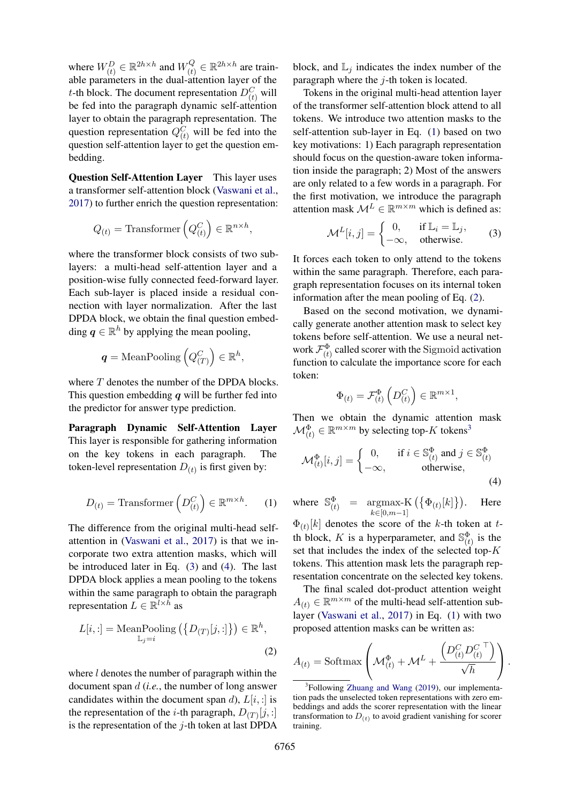where  $W_{(t)}^D \in \mathbb{R}^{2h \times h}$  and  $W_{(t)}^Q$  $C_{(t)}^{Q} \in \mathbb{R}^{2h \times h}$  are trainable parameters in the dual-attention layer of the *t*-th block. The document representation  $D_{(t)}^C$  will be fed into the paragraph dynamic self-attention layer to obtain the paragraph representation. The question representation  $Q_{(t)}^C$  will be fed into the question self-attention layer to get the question embedding.

Question Self-Attention Layer This layer uses a transformer self-attention block [\(Vaswani et al.,](#page-8-15) [2017\)](#page-8-15) to further enrich the question representation:

$$
Q_{(t)} = \text{Transformer}\left(Q_{(t)}^C\right) \in \mathbb{R}^{n \times h},
$$

where the transformer block consists of two sublayers: a multi-head self-attention layer and a position-wise fully connected feed-forward layer. Each sub-layer is placed inside a residual connection with layer normalization. After the last DPDA block, we obtain the final question embedding  $q \in \mathbb{R}^h$  by applying the mean pooling,

$$
\textit{\textbf{q}}={\rm MeanPooling}\left(Q_{(T)}^{C}\right)\in\mathbb{R}^{h},
$$

where  $T$  denotes the number of the DPDA blocks. This question embedding  $q$  will be further fed into the predictor for answer type prediction.

Paragraph Dynamic Self-Attention Layer This layer is responsible for gathering information on the key tokens in each paragraph. The token-level representation  $D_{(t)}$  is first given by:

$$
D_{(t)} = \text{Transformer}\left(D_{(t)}^C\right) \in \mathbb{R}^{m \times h}.\tag{1}
$$

The difference from the original multi-head selfattention in [\(Vaswani et al.,](#page-8-15) [2017\)](#page-8-15) is that we incorporate two extra attention masks, which will be introduced later in Eq. [\(3\)](#page-3-0) and [\(4\)](#page-3-1). The last DPDA block applies a mean pooling to the tokens within the same paragraph to obtain the paragraph representation  $L \in \mathbb{R}^{l \times h}$  as

$$
L[i, :] = \text{MeanPooling}\left(\{D_{(T)}[j, :]\}\right) \in \mathbb{R}^h,
$$
  

$$
\mathbb{L}_j = i
$$
 (2)

where  $l$  denotes the number of paragraph within the document span d (*i.e.*, the number of long answer candidates within the document span d),  $L[i, :]$  is the representation of the *i*-th paragraph,  $D_{(T)}[j, :]$ is the representation of the  $j$ -th token at last DPDA

block, and  $\mathbb{L}_j$  indicates the index number of the paragraph where the  $j$ -th token is located.

Tokens in the original multi-head attention layer of the transformer self-attention block attend to all tokens. We introduce two attention masks to the self-attention sub-layer in Eq. [\(1\)](#page-3-2) based on two key motivations: 1) Each paragraph representation should focus on the question-aware token information inside the paragraph; 2) Most of the answers are only related to a few words in a paragraph. For the first motivation, we introduce the paragraph attention mask  $\mathcal{M}^L \in \mathbb{R}^{m \times m}$  which is defined as:

<span id="page-3-0"></span>
$$
\mathcal{M}^{L}[i,j] = \begin{cases} 0, & \text{if } \mathbb{L}_{i} = \mathbb{L}_{j}, \\ -\infty, & \text{otherwise.} \end{cases}
$$
 (3)

It forces each token to only attend to the tokens within the same paragraph. Therefore, each paragraph representation focuses on its internal token information after the mean pooling of Eq. [\(2\)](#page-3-3).

Based on the second motivation, we dynamically generate another attention mask to select key tokens before self-attention. We use a neural network  $\mathcal{F}_{(t)}^{\Phi}$  called scorer with the Sigmoid activation function to calculate the importance score for each token:

<span id="page-3-1"></span>
$$
\Phi_{(t)} = \mathcal{F}_{(t)}^{\Phi} \left( D_{(t)}^C \right) \in \mathbb{R}^{m \times 1},
$$

Then we obtain the dynamic attention mask  $\mathcal{M}_{(t)}^{\Phi} \in \mathbb{R}^{m \times m}$  by selecting top-K tokens<sup>[3](#page-3-4)</sup>

$$
\mathcal{M}_{(t)}^{\Phi}[i,j] = \begin{cases} 0, & \text{if } i \in \mathbb{S}_{(t)}^{\Phi} \text{ and } j \in \mathbb{S}_{(t)}^{\Phi} \\ -\infty, & \text{otherwise,} \end{cases}
$$
(4)

<span id="page-3-2"></span>where  $\mathbb{S}_{(t)}^{\Phi}$  = argmax-K  $(\{\Phi_{(t)}[k]$ <br> $k \in [0,m-1]$  . Here

 $\Phi_{(t)}[k]$  denotes the score of the k-th token at tth block, K is a hyperparameter, and  $\mathbb{S}_{(t)}^{\Phi}$  is the set that includes the index of the selected top- $K$ tokens. This attention mask lets the paragraph representation concentrate on the selected key tokens.

The final scaled dot-product attention weight  $A(t) \in \mathbb{R}^{m \times m}$  of the multi-head self-attention sublayer [\(Vaswani et al.,](#page-8-15) [2017\)](#page-8-15) in Eq. [\(1\)](#page-3-2) with two proposed attention masks can be written as:

<span id="page-3-3"></span>
$$
A_{(t)} = \text{Softmax}\left(\mathcal{M}_{(t)}^{\Phi} + \mathcal{M}^{L} + \frac{\left(D_{(t)}^{C}D_{(t)}^{C\top}\right)}{\sqrt{h}}\right).
$$

<span id="page-3-4"></span><sup>&</sup>lt;sup>3</sup>Following [Zhuang and Wang](#page-9-4) [\(2019\)](#page-9-4), our implementation pads the unselected token representations with zero embeddings and adds the scorer representation with the linear transformation to  $D_{(t)}$  to avoid gradient vanishing for scorer training.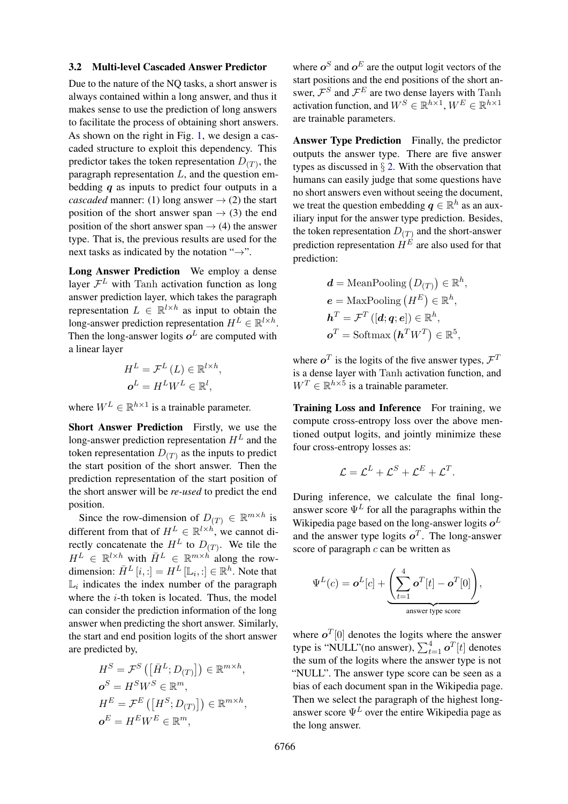#### <span id="page-4-0"></span>3.2 Multi-level Cascaded Answer Predictor

Due to the nature of the NQ tasks, a short answer is always contained within a long answer, and thus it makes sense to use the prediction of long answers to facilitate the process of obtaining short answers. As shown on the right in Fig. [1,](#page-2-0) we design a cascaded structure to exploit this dependency. This predictor takes the token representation  $D_{(T)}$ , the paragraph representation  $L$ , and the question embedding  $q$  as inputs to predict four outputs in a *cascaded* manner: (1) long answer  $\rightarrow$  (2) the start position of the short answer span  $\rightarrow$  (3) the end position of the short answer span  $\rightarrow$  (4) the answer type. That is, the previous results are used for the next tasks as indicated by the notation " $\rightarrow$ ".

Long Answer Prediction We employ a dense layer  $\mathcal{F}^L$  with Tanh activation function as long answer prediction layer, which takes the paragraph representation  $L \in \mathbb{R}^{l \times h}$  as input to obtain the long-answer prediction representation  $H^L \in \mathbb{R}^{l \times h}$ . Then the long-answer logits  $o^L$  are computed with a linear layer

$$
H^{L} = \mathcal{F}^{L} (L) \in \mathbb{R}^{l \times h},
$$
  

$$
\boldsymbol{o}^{L} = H^{L} W^{L} \in \mathbb{R}^{l},
$$

where  $W^L \in \mathbb{R}^{h \times 1}$  is a trainable parameter.

Short Answer Prediction Firstly, we use the long-answer prediction representation  $H<sup>L</sup>$  and the token representation  $D_{(T)}$  as the inputs to predict the start position of the short answer. Then the prediction representation of the start position of the short answer will be *re-used* to predict the end position.

Since the row-dimension of  $D(T) \in \mathbb{R}^{m \times h}$  is different from that of  $H^L \in \mathbb{R}^{l \times h}$ , we cannot directly concatenate the  $H^L$  to  $D_{(T)}$ . We tile the  $H^L \in \mathbb{R}^{l \times h}$  with  $\bar{H}^L \in \mathbb{R}^{m \times h}$  along the rowdimension:  $\bar{H}^{L}[i, :] = H^{L}[\mathbb{L}_{i}, :] \in \mathbb{R}^{h}$ . Note that  $\mathbb{L}_i$  indicates the index number of the paragraph where the  $i$ -th token is located. Thus, the model can consider the prediction information of the long answer when predicting the short answer. Similarly, the start and end position logits of the short answer are predicted by,

$$
H^{S} = \mathcal{F}^{S} \left( \left[ \bar{H}^{L}; D_{(T)} \right] \right) \in \mathbb{R}^{m \times h},
$$
  
\n
$$
\mathbf{o}^{S} = H^{S} W^{S} \in \mathbb{R}^{m},
$$
  
\n
$$
H^{E} = \mathcal{F}^{E} \left( \left[ H^{S}; D_{(T)} \right] \right) \in \mathbb{R}^{m \times h},
$$
  
\n
$$
\mathbf{o}^{E} = H^{E} W^{E} \in \mathbb{R}^{m},
$$

where  $o^S$  and  $o^E$  are the output logit vectors of the start positions and the end positions of the short answer,  $\mathcal{F}^S$  and  $\mathcal{F}^E$  are two dense layers with Tanh activation function, and  $W^S \in \mathbb{R}^{h \times 1}$ ,  $W^E \in \mathbb{R}^{h \times 1}$ are trainable parameters.

Answer Type Prediction Finally, the predictor outputs the answer type. There are five answer types as discussed in  $\S$  [2.](#page-1-1) With the observation that humans can easily judge that some questions have no short answers even without seeing the document, we treat the question embedding  $q \in \mathbb{R}^h$  as an auxiliary input for the answer type prediction. Besides, the token representation  $D_{(T)}$  and the short-answer prediction representation  $H^E$  are also used for that prediction:

$$
\begin{aligned} \mathbf{d} &= \text{MeanPooling}\left(D_{(T)}\right) \in \mathbb{R}^h, \\ \mathbf{e} &= \text{MaxPooling}\left(H^E\right) \in \mathbb{R}^h, \\ \mathbf{h}^T &= \mathcal{F}^T\left([\mathbf{d};\mathbf{q};\mathbf{e}]\right) \in \mathbb{R}^h, \\ \mathbf{o}^T &= \text{Softmax}\left(\mathbf{h}^T W^T\right) \in \mathbb{R}^5, \end{aligned}
$$

where  $o^T$  is the logits of the five answer types,  $\mathcal{F}^T$ is a dense layer with Tanh activation function, and  $W^T \in \mathbb{R}^{h \times 5}$  is a trainable parameter.

Training Loss and Inference For training, we compute cross-entropy loss over the above mentioned output logits, and jointly minimize these four cross-entropy losses as:

$$
\mathcal{L} = \mathcal{L}^L + \mathcal{L}^S + \mathcal{L}^E + \mathcal{L}^T.
$$

During inference, we calculate the final longanswer score  $\Psi^L$  for all the paragraphs within the Wikipedia page based on the long-answer logits  $o^L$ and the answer type logits  $o^T$ . The long-answer score of paragraph  $c$  can be written as

$$
\Psi^{L}(c) = \boldsymbol{o}^{L}[c] + \underbrace{\left(\sum_{t=1}^{4} \boldsymbol{o}^{T}[t] - \boldsymbol{o}^{T}[0]\right)}_{\text{answer type score}},
$$

where  $o<sup>T</sup>[0]$  denotes the logits where the answer type is "NULL"(no answer),  $\sum_{t=1}^{4} \mathbf{o}^{T}[t]$  denotes the sum of the logits where the answer type is not "NULL". The answer type score can be seen as a bias of each document span in the Wikipedia page. Then we select the paragraph of the highest longanswer score  $\Psi^L$  over the entire Wikipedia page as the long answer.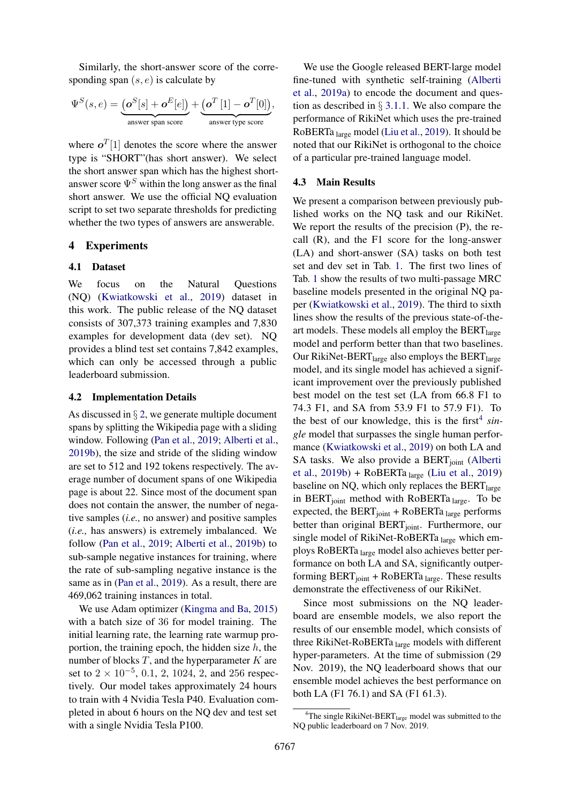Similarly, the short-answer score of the corresponding span  $(s, e)$  is calculate by

$$
\Psi^S(s,e) = \underbrace{\left(\boldsymbol{o}^S[s] + \boldsymbol{o}^E[e]\right)}_{\text{answer span score}} + \underbrace{\left(\boldsymbol{o}^T\left[1\right] - \boldsymbol{o}^T[0]\right)}_{\text{answer type score}},
$$

where  $\boldsymbol{o}^{T}[1]$  denotes the score where the answer type is "SHORT"(has short answer). We select the short answer span which has the highest shortanswer score  $\Psi^S$  within the long answer as the final short answer. We use the official NQ evaluation script to set two separate thresholds for predicting whether the two types of answers are answerable.

## 4 Experiments

## 4.1 Dataset

We focus on the Natural Questions (NQ) [\(Kwiatkowski et al.,](#page-8-7) [2019\)](#page-8-7) dataset in this work. The public release of the NQ dataset consists of 307,373 training examples and 7,830 examples for development data (dev set). NQ provides a blind test set contains 7,842 examples, which can only be accessed through a public leaderboard submission.

#### 4.2 Implementation Details

As discussed in  $\S 2$ , we generate multiple document spans by splitting the Wikipedia page with a sliding window. Following [\(Pan et al.,](#page-8-9) [2019;](#page-8-9) [Alberti et al.,](#page-8-8) [2019b\)](#page-8-8), the size and stride of the sliding window are set to 512 and 192 tokens respectively. The average number of document spans of one Wikipedia page is about 22. Since most of the document span does not contain the answer, the number of negative samples (*i.e.,* no answer) and positive samples (*i.e.,* has answers) is extremely imbalanced. We follow [\(Pan et al.,](#page-8-9) [2019;](#page-8-9) [Alberti et al.,](#page-8-8) [2019b\)](#page-8-8) to sub-sample negative instances for training, where the rate of sub-sampling negative instance is the same as in [\(Pan et al.,](#page-8-9) [2019\)](#page-8-9). As a result, there are 469,062 training instances in total.

We use Adam optimizer [\(Kingma and Ba,](#page-8-16) [2015\)](#page-8-16) with a batch size of 36 for model training. The initial learning rate, the learning rate warmup proportion, the training epoch, the hidden size  $h$ , the number of blocks  $T$ , and the hyperparameter  $K$  are set to  $2 \times 10^{-5}$ , 0.1, 2, 1024, 2, and 256 respectively. Our model takes approximately 24 hours to train with 4 Nvidia Tesla P40. Evaluation completed in about 6 hours on the NQ dev and test set with a single Nvidia Tesla P100.

We use the Google released BERT-large model fine-tuned with synthetic self-training [\(Alberti](#page-8-11) [et al.,](#page-8-11) [2019a\)](#page-8-11) to encode the document and question as described in § [3.1.1.](#page-1-2) We also compare the performance of RikiNet which uses the pre-trained RoBERTa large model [\(Liu et al.,](#page-8-3) [2019\)](#page-8-3). It should be noted that our RikiNet is orthogonal to the choice of a particular pre-trained language model.

#### 4.3 Main Results

We present a comparison between previously published works on the NQ task and our RikiNet. We report the results of the precision (P), the recall (R), and the F1 score for the long-answer (LA) and short-answer (SA) tasks on both test set and dev set in Tab. [1.](#page-6-0) The first two lines of Tab. [1](#page-6-0) show the results of two multi-passage MRC baseline models presented in the original NQ paper [\(Kwiatkowski et al.,](#page-8-7) [2019\)](#page-8-7). The third to sixth lines show the results of the previous state-of-theart models. These models all employ the  $BERT_{\text{large}}$ model and perform better than that two baselines. Our RikiNet-BERT $_{\text{large}}$  also employs the BERT $_{\text{large}}$ model, and its single model has achieved a significant improvement over the previously published best model on the test set (LA from 66.8 F1 to 74.3 F1, and SA from 53.9 F1 to 57.9 F1). To the best of our knowledge, this is the first<sup>[4](#page-5-0)</sup> sin*gle* model that surpasses the single human performance [\(Kwiatkowski et al.,](#page-8-7) [2019\)](#page-8-7) on both LA and SA tasks. We also provide a BERT<sub>ioint</sub> [\(Alberti](#page-8-8) [et al.,](#page-8-8)  $2019b$ ) + RoBERTa  $_{large}$  [\(Liu et al.,](#page-8-3) [2019\)](#page-8-3) baseline on NQ, which only replaces the  $BERT_{\text{large}}$ in BERT $_{\text{joint}}$  method with RoBERTa  $_{\text{large}}$ . To be expected, the  $BERT<sub>joint</sub> + RoBERTa<sub>large</sub> performs$ better than original BERT<sub>joint</sub>. Furthermore, our single model of RikiNet-RoBERTa large which employs RoBERTa large model also achieves better performance on both LA and SA, significantly outperforming  $BERT<sub>joint</sub> + RoBERTa<sub>large</sub>$ . These results demonstrate the effectiveness of our RikiNet.

Since most submissions on the NQ leaderboard are ensemble models, we also report the results of our ensemble model, which consists of three RikiNet-RoBERTa large models with different hyper-parameters. At the time of submission (29 Nov. 2019), the NQ leaderboard shows that our ensemble model achieves the best performance on both LA (F1 76.1) and SA (F1 61.3).

<span id="page-5-0"></span> $4$ The single RikiNet-BERT<sub>large</sub> model was submitted to the NQ public leaderboard on 7 Nov. 2019.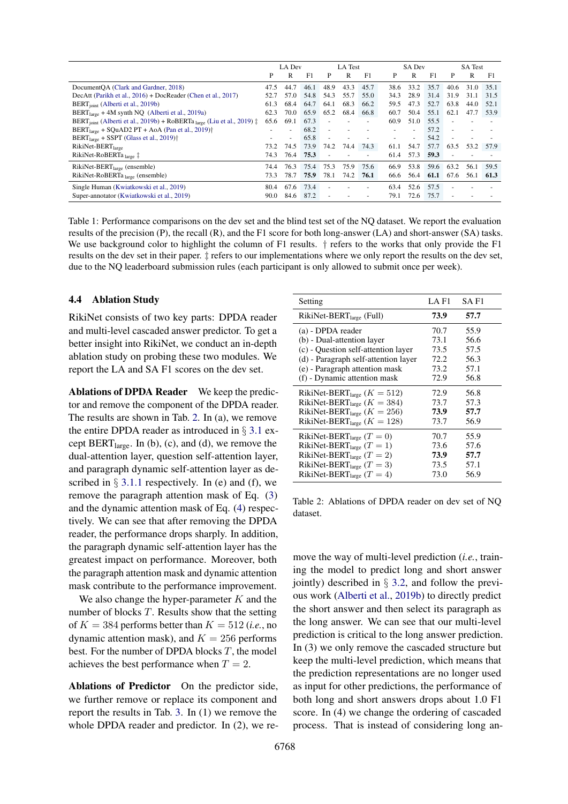<span id="page-6-0"></span>

|                                                                                                        | LA Dev |                          |      | LA Test |      |      | <b>SA Dev</b> |                          |      | <b>SA</b> Test           |      |      |
|--------------------------------------------------------------------------------------------------------|--------|--------------------------|------|---------|------|------|---------------|--------------------------|------|--------------------------|------|------|
|                                                                                                        | P      | R                        | F1   | P       | R    | F1   | P             | R                        | F1   | P                        | R    | F1   |
| DocumentOA (Clark and Gardner, 2018)                                                                   | 47.5   | 44.7                     | 46.1 | 48.9    | 43.3 | 45.7 | 38.6          | 33.2                     | 35.7 | 40.6                     | 31.0 | 35.1 |
| DecAtt (Parikh et al., 2016) + DocReader (Chen et al., 2017)                                           | 52.7   | 57.0                     | 54.8 | 54.3    | 55.7 | 55.0 | 34.3          | 28.9                     | 31.4 | 31.9                     | 31.1 | 31.5 |
| BERT <sub>ioint</sub> (Alberti et al., 2019b)                                                          | 61.3   | 68.4                     | 64.7 | 64.1    | 68.3 | 66.2 | 59.5          | 47.3                     | 52.7 | 63.8                     | 44.0 | 52.1 |
| $BERT_{\text{large}} + 4M$ synth NQ (Alberti et al., 2019a)                                            | 62.3   | 70.0                     | 65.9 | 65.2    | 68.4 | 66.8 | 60.7          | 50.4                     | 55.1 | 62.1                     | 47.7 | 53.9 |
| BERT <sub>ioint</sub> (Alberti et al., 2019b) + RoBERTa <sub>large</sub> (Liu et al., 2019) $\ddagger$ | 65.6   | 69.1                     | 67.3 |         |      |      | 60.9          | 51.0                     | 55.5 | $\overline{\phantom{a}}$ |      |      |
| $BERTlarge + SQUARE2 PT + AoA (Pan et al., 2019)†$                                                     |        | ۰                        | 68.2 |         |      |      |               |                          | 57.2 | $\overline{\phantom{a}}$ |      |      |
| $BERT_{large} + SSPT$ (Glass et al., 2019) <sup>†</sup>                                                |        | $\overline{\phantom{a}}$ | 65.8 |         |      |      |               | $\overline{\phantom{a}}$ | 54.2 | ÷,                       |      |      |
| RikiNet-BERT <sub>large</sub>                                                                          | 73.2   | 74.5                     | 73.9 | 74.2    | 74.4 | 74.3 | 61.1          | 54.7                     | 57.7 | 63.5                     | 53.2 | 57.9 |
| RikiNet-RoBERTa <sub>large</sub> ‡                                                                     | 74.3   | 76.4                     | 75.3 |         |      |      | 61.4          | 57.3                     | 59.3 |                          |      |      |
| RikiNet-BERT <sub>large</sub> (ensemble)                                                               | 74.4   | 76.3                     | 75.4 | 75.3    | 75.9 | 75.6 | 66.9          | 53.8                     | 59.6 | 63.2                     | 56.1 | 59.5 |
| RikiNet-RoBERTa <sub>large</sub> (ensemble)                                                            | 73.3   | 78.7                     | 75.9 | 78.1    | 74.2 | 76.1 | 66.6          | 56.4                     | 61.1 | 67.6                     | 56.1 | 61.3 |
| Single Human (Kwiatkowski et al., 2019)                                                                | 80.4   | 67.6                     | 73.4 |         |      |      | 63.4          | 52.6                     | 57.5 |                          |      |      |
| Super-annotator (Kwiatkowski et al., 2019)                                                             | 90.0   | 84.6                     | 87.2 |         |      |      | 79.1          | 72.6                     | 75.7 |                          |      |      |

Table 1: Performance comparisons on the dev set and the blind test set of the NQ dataset. We report the evaluation results of the precision (P), the recall (R), and the F1 score for both long-answer (LA) and short-answer (SA) tasks. We use background color to highlight the column of F1 results.  $\dagger$  refers to the works that only provide the F1 results on the dev set in their paper. ‡ refers to our implementations where we only report the results on the dev set, due to the NQ leaderboard submission rules (each participant is only allowed to submit once per week).

#### 4.4 Ablation Study

RikiNet consists of two key parts: DPDA reader and multi-level cascaded answer predictor. To get a better insight into RikiNet, we conduct an in-depth ablation study on probing these two modules. We report the LA and SA F1 scores on the dev set.

Ablations of DPDA Reader We keep the predictor and remove the component of the DPDA reader. The results are shown in Tab. [2.](#page-6-1) In (a), we remove the entire DPDA reader as introduced in  $\S 3.1$  $\S 3.1$  except  $BERT_{large}$ . In (b), (c), and (d), we remove the dual-attention layer, question self-attention layer, and paragraph dynamic self-attention layer as described in  $\S 3.1.1$  $\S 3.1.1$  respectively. In (e) and (f), we remove the paragraph attention mask of Eq. [\(3\)](#page-3-0) and the dynamic attention mask of Eq. [\(4\)](#page-3-1) respectively. We can see that after removing the DPDA reader, the performance drops sharply. In addition, the paragraph dynamic self-attention layer has the greatest impact on performance. Moreover, both the paragraph attention mask and dynamic attention mask contribute to the performance improvement.

We also change the hyper-parameter  $K$  and the number of blocks  $T$ . Results show that the setting of  $K = 384$  performs better than  $K = 512$  (*i.e.*, no dynamic attention mask), and  $K = 256$  performs best. For the number of DPDA blocks  $T$ , the model achieves the best performance when  $T = 2$ .

Ablations of Predictor On the predictor side, we further remove or replace its component and report the results in Tab. [3.](#page-7-0) In (1) we remove the whole DPDA reader and predictor. In (2), we re-

<span id="page-6-1"></span>

| Setting                                     | LA F1 | SA F1 |
|---------------------------------------------|-------|-------|
| RikiNet-BERT <sub>large</sub> (Full)        | 73.9  | 57.7  |
| (a) - DPDA reader                           | 70.7  | 55.9  |
| (b) - Dual-attention layer                  | 73.1  | 56.6  |
| (c) - Question self-attention layer         | 73.5  | 57.5  |
| (d) - Paragraph self-attention layer        | 72.2  | 56.3  |
| (e) - Paragraph attention mask              | 73.2  | 57.1  |
| (f) - Dynamic attention mask                | 72.9  | 56.8  |
| RikiNet-BERT <sub>large</sub> $(K = 512)$   | 72.9  | 56.8  |
| RikiNet-BERT <sub>large</sub> ( $K = 384$ ) | 73.7  | 57.3  |
| RikiNet-BERT <sub>large</sub> $(K = 256)$   | 73.9  | 57.7  |
| RikiNet-BERT <sub>large</sub> ( $K = 128$ ) | 73.7  | 56.9  |
| RikiNet-BERT <sub>large</sub> $(T = 0)$     | 70.7  | 55.9  |
| RikiNet-BERT <sub>large</sub> $(T = 1)$     | 73.6  | 57.6  |
| RikiNet-BERT <sub>large</sub> $(T = 2)$     | 73.9  | 57.7  |
| RikiNet-BERT <sub>large</sub> $(T = 3)$     | 73.5  | 57.1  |
| RikiNet-BERT <sub>large</sub> $(T = 4)$     | 73.0  | 56.9  |

Table 2: Ablations of DPDA reader on dev set of NQ dataset.

move the way of multi-level prediction (*i.e.*, training the model to predict long and short answer jointly) described in  $\S$  [3.2,](#page-4-0) and follow the previous work [\(Alberti et al.,](#page-8-8) [2019b\)](#page-8-8) to directly predict the short answer and then select its paragraph as the long answer. We can see that our multi-level prediction is critical to the long answer prediction. In (3) we only remove the cascaded structure but keep the multi-level prediction, which means that the prediction representations are no longer used as input for other predictions, the performance of both long and short answers drops about 1.0 F1 score. In (4) we change the ordering of cascaded process. That is instead of considering long an-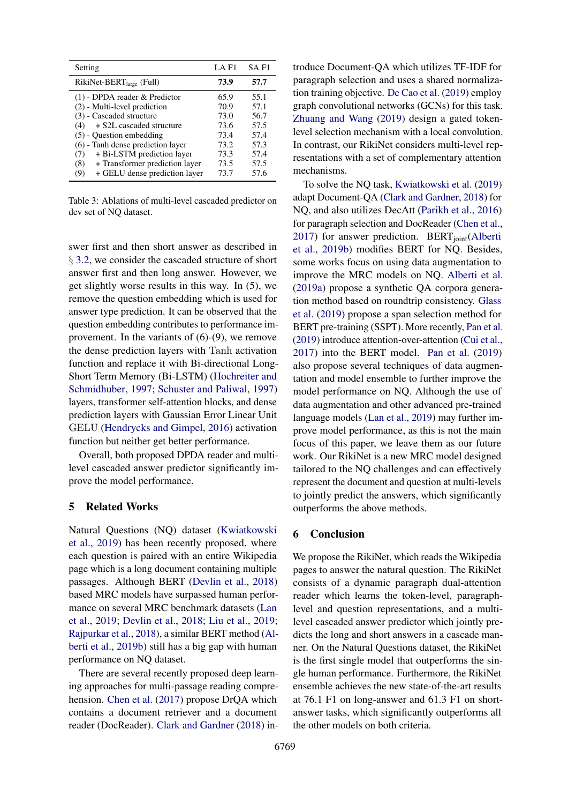<span id="page-7-0"></span>

| Setting                               | $LA$ $F1$ | SA F1 |
|---------------------------------------|-----------|-------|
| RikiNet-BERT <sub>large</sub> (Full)  | 73.9      | 57.7  |
| $(1)$ - DPDA reader & Predictor       | 65.9      | 55.1  |
| (2) - Multi-level prediction          | 70.9      | 57.1  |
| (3) - Cascaded structure              | 73.0      | 56.7  |
| + S2L cascaded structure<br>(4)       | 73.6      | 57.5  |
| $(5)$ - Ouestion embedding            | 73.4      | 57.4  |
| $(6)$ - Tanh dense prediction layer   | 73.2      | 57.3  |
| + Bi-LSTM prediction layer<br>(7)     | 73.3      | 57.4  |
| + Transformer prediction layer<br>(8) | 73.5      | 57.5  |
| + GELU dense prediction layer<br>(9)  | 73.7      | 57.6  |

Table 3: Ablations of multi-level cascaded predictor on dev set of NQ dataset.

swer first and then short answer as described in § [3.2,](#page-4-0) we consider the cascaded structure of short answer first and then long answer. However, we get slightly worse results in this way. In (5), we remove the question embedding which is used for answer type prediction. It can be observed that the question embedding contributes to performance improvement. In the variants of (6)-(9), we remove the dense prediction layers with Tanh activation function and replace it with Bi-directional Long-Short Term Memory (Bi-LSTM) [\(Hochreiter and](#page-8-21) [Schmidhuber,](#page-8-21) [1997;](#page-8-21) [Schuster and Paliwal,](#page-8-22) [1997\)](#page-8-22) layers, transformer self-attention blocks, and dense prediction layers with Gaussian Error Linear Unit GELU [\(Hendrycks and Gimpel,](#page-8-23) [2016\)](#page-8-23) activation function but neither get better performance.

Overall, both proposed DPDA reader and multilevel cascaded answer predictor significantly improve the model performance.

## 5 Related Works

Natural Questions (NQ) dataset [\(Kwiatkowski](#page-8-7) [et al.,](#page-8-7) [2019\)](#page-8-7) has been recently proposed, where each question is paired with an entire Wikipedia page which is a long document containing multiple passages. Although BERT [\(Devlin et al.,](#page-8-0) [2018\)](#page-8-0) based MRC models have surpassed human performance on several MRC benchmark datasets [\(Lan](#page-8-2) [et al.,](#page-8-2) [2019;](#page-8-2) [Devlin et al.,](#page-8-0) [2018;](#page-8-0) [Liu et al.,](#page-8-3) [2019;](#page-8-3) [Rajpurkar et al.,](#page-8-5) [2018\)](#page-8-5), a similar BERT method [\(Al](#page-8-8)[berti et al.,](#page-8-8) [2019b\)](#page-8-8) still has a big gap with human performance on NQ dataset.

There are several recently proposed deep learning approaches for multi-passage reading comprehension. [Chen et al.](#page-8-19) [\(2017\)](#page-8-19) propose DrQA which contains a document retriever and a document reader (DocReader). [Clark and Gardner](#page-8-17) [\(2018\)](#page-8-17) introduce Document-QA which utilizes TF-IDF for paragraph selection and uses a shared normalization training objective. [De Cao et al.](#page-8-24) [\(2019\)](#page-8-24) employ graph convolutional networks (GCNs) for this task. [Zhuang and Wang](#page-9-4) [\(2019\)](#page-9-4) design a gated tokenlevel selection mechanism with a local convolution. In contrast, our RikiNet considers multi-level representations with a set of complementary attention mechanisms.

To solve the NQ task, [Kwiatkowski et al.](#page-8-7) [\(2019\)](#page-8-7) adapt Document-QA [\(Clark and Gardner,](#page-8-17) [2018\)](#page-8-17) for NQ, and also utilizes DecAtt [\(Parikh et al.,](#page-8-18) [2016\)](#page-8-18) for paragraph selection and DocReader [\(Chen et al.,](#page-8-19) [2017\)](#page-8-19) for answer prediction. BERT $_{joint}$ [\(Alberti](#page-8-8) [et al.,](#page-8-8) [2019b\)](#page-8-8) modifies BERT for NQ. Besides, some works focus on using data augmentation to improve the MRC models on NQ. [Alberti et al.](#page-8-11) [\(2019a\)](#page-8-11) propose a synthetic QA corpora generation method based on roundtrip consistency. [Glass](#page-8-20) [et al.](#page-8-20) [\(2019\)](#page-8-20) propose a span selection method for BERT pre-training (SSPT). More recently, [Pan et al.](#page-8-9) [\(2019\)](#page-8-9) introduce attention-over-attention [\(Cui et al.,](#page-8-25) [2017\)](#page-8-25) into the BERT model. [Pan et al.](#page-8-9) [\(2019\)](#page-8-9) also propose several techniques of data augmentation and model ensemble to further improve the model performance on NQ. Although the use of data augmentation and other advanced pre-trained language models [\(Lan et al.,](#page-8-2) [2019\)](#page-8-2) may further improve model performance, as this is not the main focus of this paper, we leave them as our future work. Our RikiNet is a new MRC model designed tailored to the NQ challenges and can effectively represent the document and question at multi-levels to jointly predict the answers, which significantly outperforms the above methods.

#### 6 Conclusion

We propose the RikiNet, which reads the Wikipedia pages to answer the natural question. The RikiNet consists of a dynamic paragraph dual-attention reader which learns the token-level, paragraphlevel and question representations, and a multilevel cascaded answer predictor which jointly predicts the long and short answers in a cascade manner. On the Natural Questions dataset, the RikiNet is the first single model that outperforms the single human performance. Furthermore, the RikiNet ensemble achieves the new state-of-the-art results at 76.1 F1 on long-answer and 61.3 F1 on shortanswer tasks, which significantly outperforms all the other models on both criteria.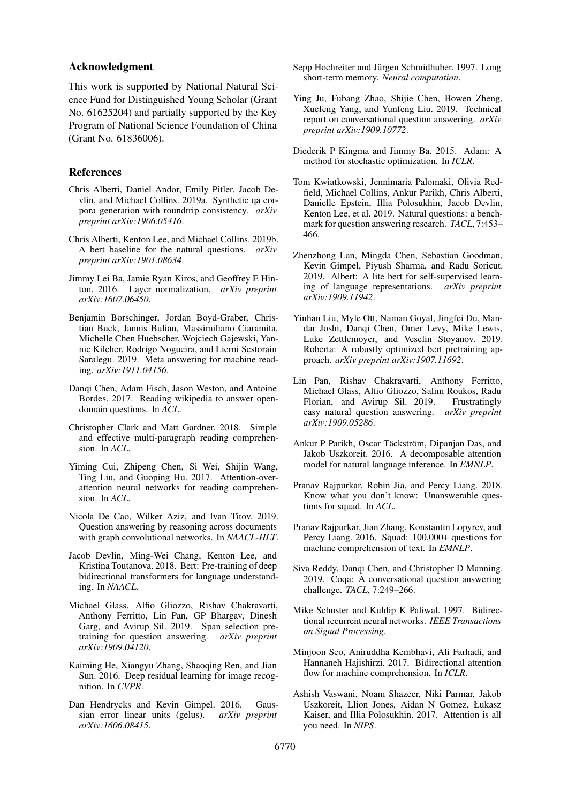#### Acknowledgment

This work is supported by National Natural Science Fund for Distinguished Young Scholar (Grant No. 61625204) and partially supported by the Key Program of National Science Foundation of China (Grant No. 61836006).

## References

- <span id="page-8-11"></span>Chris Alberti, Daniel Andor, Emily Pitler, Jacob Devlin, and Michael Collins. 2019a. Synthetic qa corpora generation with roundtrip consistency. *arXiv preprint arXiv:1906.05416*.
- <span id="page-8-8"></span>Chris Alberti, Kenton Lee, and Michael Collins. 2019b. A bert baseline for the natural questions. *arXiv preprint arXiv:1901.08634*.
- <span id="page-8-14"></span>Jimmy Lei Ba, Jamie Ryan Kiros, and Geoffrey E Hinton. 2016. Layer normalization. *arXiv preprint arXiv:1607.06450*.
- <span id="page-8-10"></span>Benjamin Borschinger, Jordan Boyd-Graber, Christian Buck, Jannis Bulian, Massimiliano Ciaramita, Michelle Chen Huebscher, Wojciech Gajewski, Yannic Kilcher, Rodrigo Nogueira, and Lierni Sestorain Saralegu. 2019. Meta answering for machine reading. *arXiv:1911.04156*.
- <span id="page-8-19"></span>Danqi Chen, Adam Fisch, Jason Weston, and Antoine Bordes. 2017. Reading wikipedia to answer opendomain questions. In *ACL*.
- <span id="page-8-17"></span>Christopher Clark and Matt Gardner. 2018. Simple and effective multi-paragraph reading comprehension. In *ACL*.
- <span id="page-8-25"></span>Yiming Cui, Zhipeng Chen, Si Wei, Shijin Wang, Ting Liu, and Guoping Hu. 2017. Attention-overattention neural networks for reading comprehension. In *ACL*.
- <span id="page-8-24"></span>Nicola De Cao, Wilker Aziz, and Ivan Titov. 2019. Question answering by reasoning across documents with graph convolutional networks. In *NAACL-HLT*.
- <span id="page-8-0"></span>Jacob Devlin, Ming-Wei Chang, Kenton Lee, and Kristina Toutanova. 2018. Bert: Pre-training of deep bidirectional transformers for language understanding. In *NAACL*.
- <span id="page-8-20"></span>Michael Glass, Alfio Gliozzo, Rishav Chakravarti, Anthony Ferritto, Lin Pan, GP Bhargav, Dinesh Garg, and Avirup Sil. 2019. Span selection pretraining for question answering. *arXiv preprint arXiv:1909.04120*.
- <span id="page-8-13"></span>Kaiming He, Xiangyu Zhang, Shaoqing Ren, and Jian Sun. 2016. Deep residual learning for image recognition. In *CVPR*.
- <span id="page-8-23"></span>Dan Hendrycks and Kevin Gimpel. 2016. Gaussian error linear units (gelus). *arXiv preprint arXiv:1606.08415*.
- <span id="page-8-21"></span>Sepp Hochreiter and Jürgen Schmidhuber. 1997. Long short-term memory. *Neural computation*.
- <span id="page-8-1"></span>Ying Ju, Fubang Zhao, Shijie Chen, Bowen Zheng, Xuefeng Yang, and Yunfeng Liu. 2019. Technical report on conversational question answering. *arXiv preprint arXiv:1909.10772*.
- <span id="page-8-16"></span>Diederik P Kingma and Jimmy Ba. 2015. Adam: A method for stochastic optimization. In *ICLR*.
- <span id="page-8-7"></span>Tom Kwiatkowski, Jennimaria Palomaki, Olivia Redfield, Michael Collins, Ankur Parikh, Chris Alberti, Danielle Epstein, Illia Polosukhin, Jacob Devlin, Kenton Lee, et al. 2019. Natural questions: a benchmark for question answering research. *TACL*, 7:453– 466.
- <span id="page-8-2"></span>Zhenzhong Lan, Mingda Chen, Sebastian Goodman, Kevin Gimpel, Piyush Sharma, and Radu Soricut. 2019. Albert: A lite bert for self-supervised learning of language representations. *arXiv preprint arXiv:1909.11942*.
- <span id="page-8-3"></span>Yinhan Liu, Myle Ott, Naman Goyal, Jingfei Du, Mandar Joshi, Danqi Chen, Omer Levy, Mike Lewis, Luke Zettlemoyer, and Veselin Stoyanov. 2019. Roberta: A robustly optimized bert pretraining approach. *arXiv preprint arXiv:1907.11692*.
- <span id="page-8-9"></span>Lin Pan, Rishav Chakravarti, Anthony Ferritto, Michael Glass, Alfio Gliozzo, Salim Roukos, Radu Florian, and Avirup Sil. 2019. Frustratingly easy natural question answering. *arXiv preprint arXiv:1909.05286*.
- <span id="page-8-18"></span>Ankur P Parikh, Oscar Täckström, Dipanjan Das, and Jakob Uszkoreit. 2016. A decomposable attention model for natural language inference. In *EMNLP*.
- <span id="page-8-5"></span>Pranav Rajpurkar, Robin Jia, and Percy Liang. 2018. Know what you don't know: Unanswerable questions for squad. In *ACL*.
- <span id="page-8-4"></span>Pranav Rajpurkar, Jian Zhang, Konstantin Lopyrev, and Percy Liang. 2016. Squad: 100,000+ questions for machine comprehension of text. In *EMNLP*.
- <span id="page-8-6"></span>Siva Reddy, Danqi Chen, and Christopher D Manning. 2019. Coqa: A conversational question answering challenge. *TACL*, 7:249–266.
- <span id="page-8-22"></span>Mike Schuster and Kuldip K Paliwal. 1997. Bidirectional recurrent neural networks. *IEEE Transactions on Signal Processing*.
- <span id="page-8-12"></span>Minjoon Seo, Aniruddha Kembhavi, Ali Farhadi, and Hannaneh Hajishirzi. 2017. Bidirectional attention flow for machine comprehension. In *ICLR*.
- <span id="page-8-15"></span>Ashish Vaswani, Noam Shazeer, Niki Parmar, Jakob Uszkoreit, Llion Jones, Aidan N Gomez, Łukasz Kaiser, and Illia Polosukhin. 2017. Attention is all you need. In *NIPS*.